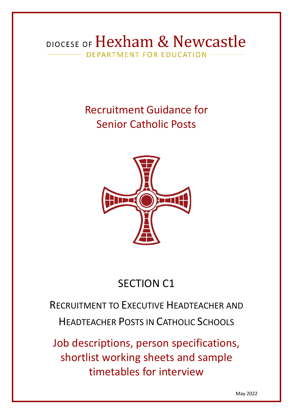## DIOCESE OF Hexham & Newcastle DEPARTMENT FOR EDUCATION

# Recruitment Guidance for Senior Catholic Posts



# SECTION C1

# RECRUITMENT TO EXECUTIVE HEADTEACHER AND HEADTEACHER POSTS IN CATHOLIC SCHOOLS

Job descriptions, person specifications, shortlist working sheets and sample timetables for interview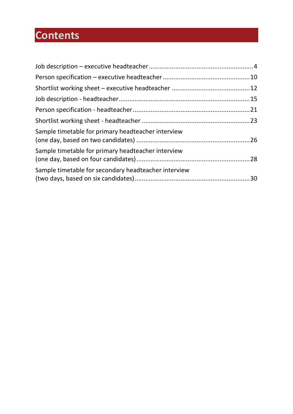# **Contents**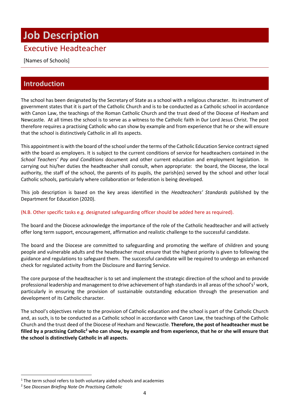# <span id="page-2-0"></span>**Job Description**

## Executive Headteacher

[Names of Schools]

## **Introduction**

The school has been designated by the Secretary of State as a school with a religious character. Its instrument of government states that it is part of the Catholic Church and is to be conducted as a Catholic school in accordance with Canon Law, the teachings of the Roman Catholic Church and the trust deed of the Diocese of Hexham and Newcastle. At all times the school is to serve as a witness to the Catholic faith in 0ur Lord Jesus Christ. The post therefore requires a practising Catholic who can show by example and from experience that he or she will ensure that the school is distinctively Catholic in all its aspects.

This appointment is with the board of the school under the terms of the Catholic Education Service contract signed with the board as employers. It is subject to the current conditions of service for headteachers contained in the *School Teachers' Pay and Conditions* document and other current education and employment legislation. In carrying out his/her duties the headteacher shall consult, when appropriate: the board, the Diocese, the local authority, the staff of the school, the parents of its pupils, the parish(es) served by the school and other local Catholic schools, particularly where collaboration or federation is being developed.

This job description is based on the key areas identified in the *Headteachers' Standards* published by the Department for Education (2020).

#### (N.B. Other specific tasks e.g. designated safeguarding officer should be added here as required).

The board and the Diocese acknowledge the importance of the role of the Catholic headteacher and will actively offer long term support, encouragement, affirmation and realistic challenge to the successful candidate.

The board and the Diocese are committed to safeguarding and promoting the welfare of children and young people and vulnerable adults and the headteacher must ensure that the highest priority is given to following the guidance and regulations to safeguard them. The successful candidate will be required to undergo an enhanced check for regulated activity from the Disclosure and Barring Service.

The core purpose of the headteacher is to set and implement the strategic direction of the school and to provide professional leadership and management to drive achievement of high standards in all areas of the school's<sup>1</sup> work, particularly in ensuring the provision of sustainable outstanding education through the preservation and development of its Catholic character.

The school's objectives relate to the provision of Catholic education and the school is part of the Catholic Church and, as such, is to be conducted as a Catholic school in accordance with Canon Law, the teachings of the Catholic Church and the trust deed of the Diocese of Hexham and Newcastle. **Therefore, the post of headteacher must be filled by a practising Catholic<sup>2</sup> who can show, by example and from experience, that he or she will ensure that the school is distinctively Catholic in all aspects.**

 $1$  The term school refers to both voluntary aided schools and academies

<sup>2</sup> See *Diocesan Briefing Note On Practising Catholic*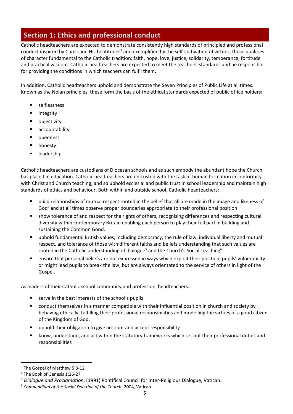## **Section 1: Ethics and professional conduct**

Catholic headteachers are expected to demonstrate consistently high standards of principled and professional conduct inspired by Christ and His beatitudes<sup>3</sup> and exemplified by the self-cultivation of virtues, those qualities of character fundamental to the Catholic tradition: faith, hope, love, justice, solidarity, temperance, fortitude and practical wisdom. Catholic headteachers are expected to meet the teachers' standards and be responsible for providing the conditions in which teachers can fulfil them.

In addition, Catholic headteachers uphold and demonstrate the Seven [Principles](https://www.gov.uk/government/publications/the-7-principles-of-public-life) of Public Life at all times. Known as the Nolan principles, these form the basis of the ethical standards expected of public office holders:

- selflessness
- integrity
- objectivity
- accountability
- openness
- honesty
- leadership

Catholic headteachers are custodians of Diocesan schools and as such embody the abundant hope the Church has placed in education. Catholic headteachers are entrusted with the task of human formation in conformity with Christ and Church teaching, and so uphold ecclesial and public trust in school leadership and maintain high standards of ethics and behaviour. Both within and outside school, Catholic headteachers:

- build relationships of mutual respect rooted in the belief that all are made in the image and likeness of God<sup>4</sup> and at all times observe proper boundaries appropriate to their professional position
- show tolerance of and respect for the rights of others, recognising differences and respecting cultural diversity within contemporary Britain enabling each person to play their full part in building and sustaining the Common Good.
- uphold fundamental British values, including democracy, the rule of law, individual liberty and mutual respect, and tolerance of those with different faiths and beliefs understanding that such values are rooted in the Catholic understanding of dialogue<sup>5</sup> and the Church's Social Teaching<sup>6</sup>.
- ensure that personal beliefs are not expressed in ways which exploit their position, pupils' vulnerability or might lead pupils to break the law, but are always orientated to the service of others in light of the Gospel.

As leaders of their Catholic school community and profession, headteachers:

- serve in the best interests of the school's pupils
- conduct themselves in a manner compatible with their influential position in church and society by behaving ethically, fulfilling their professional responsibilities and modelling the virtues of a good citizen of the Kingdom of God.
- uphold their obligation to give account and accept responsibility
- know, understand, and act within the statutory frameworks which set out their professional duties and responsibilities

<sup>&</sup>lt;sup>3</sup> The Gospel of Matthew 5:3-12

<sup>4</sup> The Book of Genesis 1:26-27

<sup>5</sup> *Dialogue and Proclamation*, (1991) Pontifical Council for Inter-Religious Dialogue, Vatican.

<sup>6</sup> *Compendium of the Social Doctrine of the Church*, 2004, Vatican.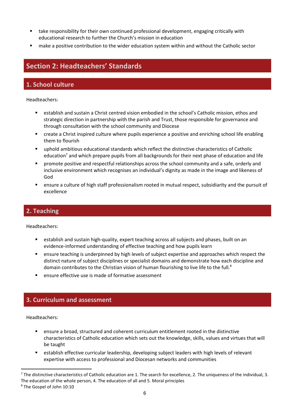- take responsibility for their own continued professional development, engaging critically with educational research to further the Church's mission in education
- make a positive contribution to the wider education system within and without the Catholic sector

## **Section 2: Headteachers' Standards**

## **1. School culture**

Headteachers:

- establish and sustain a Christ centred vision embodied in the school's Catholic mission, ethos and strategic direction in partnership with the parish and Trust, those responsible for governance and through consultation with the school community and Diocese
- create a Christ inspired culture where pupils experience a positive and enriching school life enabling them to flourish
- uphold ambitious educational standards which reflect the distinctive characteristics of Catholic education<sup>7</sup> and which prepare pupils from all backgrounds for their next phase of education and life
- promote positive and respectful relationships across the school community and a safe, orderly and inclusive environment which recognises an individual's dignity as made in the image and likeness of God
- ensure a culture of high staff professionalism rooted in mutual respect, subsidiarity and the pursuit of excellence

### **2. Teaching**

Headteachers:

- **E** establish and sustain high-quality, expert teaching across all subjects and phases, built on an evidence-informed understanding of effective teaching and how pupils learn
- ensure teaching is underpinned by high levels of subject expertise and approaches which respect the distinct nature of subject disciplines or specialist domains and demonstrate how each discipline and domain contributes to the Christian vision of human flourishing to live life to the full.<sup>8</sup>
- ensure effective use is made of formative assessment

## **3. Curriculum and assessment**

- ensure a broad, structured and coherent curriculum entitlement rooted in the distinctive characteristics of Catholic education which sets out the knowledge, skills, values and virtues that will be taught
- **EXECT** establish effective curricular leadership, developing subject leaders with high levels of relevant expertise with access to professional and Diocesan networks and communities

 $^7$  The distinctive characteristics of Catholic education are 1. The search for excellence, 2. The uniqueness of the individual, 3. The education of the whole person, 4. The education of all and 5. Moral principles

<sup>8</sup> The Gospel of John 10:10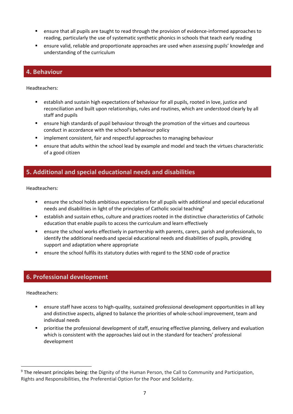- ensure that all pupils are taught to read through the provision of evidence-informed approaches to reading, particularly the use of systematic synthetic phonics in schools that teach early reading
- ensure valid, reliable and proportionate approaches are used when assessing pupils' knowledge and understanding of the curriculum

#### **4. Behaviour**

Headteachers:

- establish and sustain high expectations of behaviour for all pupils, rooted in love, justice and reconciliation and built upon relationships, rules and routines, which are understood clearly by all staff and pupils
- **E** ensure high standards of pupil behaviour through the promotion of the virtues and courteous conduct in accordance with the school's behaviour policy
- **E** implement consistent, fair and respectful approaches to managing behaviour
- ensure that adults within the school lead by example and model and teach the virtues characteristic of a good citizen

### **5. Additional and special educational needs and disabilities**

Headteachers:

- ensure the school holds ambitious expectations for all pupils with additional and special educational needs and disabilities in light of the principles of Catholic social teaching<sup>9</sup>
- establish and sustain ethos, culture and practices rooted in the distinctive characteristics of Catholic education that enable pupils to access the curriculum and learn effectively
- ensure the school works effectively in partnership with parents, carers, parish and professionals, to identify the additional needs and special educational needs and disabilities of pupils, providing support and adaptation where appropriate
- **■** ensure the school fulfils its statutory duties with regard to the SEND code of practice

### **6. Professional development**

- **E** ensure staff have access to high-quality, sustained professional development opportunities in all key and distinctive aspects, aligned to balance the priorities of whole-school improvement, team and individual needs
- prioritise the professional development of staff, ensuring effective planning, delivery and evaluation which is consistent with the approaches laid out in the standard for teachers' professional development

<sup>&</sup>lt;sup>9</sup> The relevant principles being: the Dignity of the Human Person, the Call to Community and Participation, Rights and Responsibilities, the Preferential Option for the Poor and Solidarity.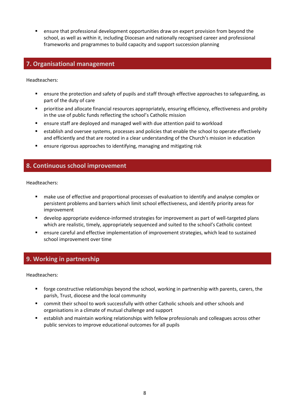**EXECT** ensure that professional development opportunities draw on expert provision from beyond the school, as well as within it, including Diocesan and nationally recognised career and professional frameworks and programmes to build capacity and support succession planning

### **7. Organisational management**

Headteachers:

- ensure the protection and safety of pupils and staff through effective approaches to safeguarding, as part of the duty of care
- **·** prioritise and allocate financial resources appropriately, ensuring efficiency, effectiveness and probity in the use of public funds reflecting the school's Catholic mission
- ensure staff are deployed and managed well with due attention paid to workload
- establish and oversee systems, processes and policies that enable the school to operate effectively and efficiently and that are rooted in a clear understanding of the Church's mission in education
- ensure rigorous approaches to identifying, managing and mitigating risk

### **8. Continuous school improvement**

Headteachers:

- make use of effective and proportional processes of evaluation to identify and analyse complex or persistent problems and barriers which limit school effectiveness, and identify priority areas for improvement
- develop appropriate evidence-informed strategies for improvement as part of well-targeted plans which are realistic, timely, appropriately sequenced and suited to the school's Catholic context
- **EXECT** ensure careful and effective implementation of improvement strategies, which lead to sustained school improvement over time

### **9. Working in partnership**

- forge constructive relationships beyond the school, working in partnership with parents, carers, the parish, Trust, diocese and the local community
- commit their school to work successfully with other Catholic schools and other schools and organisations in a climate of mutual challenge and support
- establish and maintain working relationships with fellow professionals and colleagues across other public services to improve educational outcomes for all pupils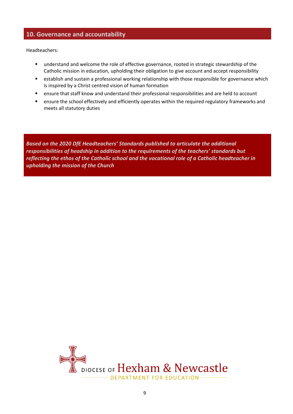#### **10. Governance and accountability**

Headteachers:

- understand and welcome the role of effective governance, rooted in strategic stewardship of the Catholic mission in education, upholding their obligation to give account and accept responsibility
- establish and sustain a professional working relationship with those responsible for governance which is inspired by a Christ centred vision of human formation
- ensure that staff know and understand their professional responsibilities and are held to account
- ensure the school effectively and efficiently operates within the required regulatory frameworks and meets all statutory duties

*Based on the 2020 DfE Headteachers' Standards published to articulate the additional responsibilities of headship in addition to the requirements of the teachers' standards but reflecting the ethos of the Catholic school and the vocational role of a Catholic headteacher in upholding the mission of the Church*

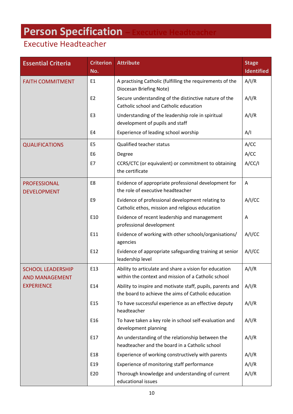# <span id="page-8-0"></span>**Person Specification – Executive Headteacher**

## Executive Headteacher

| <b>Essential Criteria</b>                         | <b>Criterion</b><br>No. | <b>Attribute</b>                                                                                                  | <b>Stage</b><br><b>Identified</b> |
|---------------------------------------------------|-------------------------|-------------------------------------------------------------------------------------------------------------------|-----------------------------------|
| <b>FAITH COMMITMENT</b>                           | E1                      | A practising Catholic (fulfilling the requirements of the<br>Diocesan Briefing Note)                              | A/I/R                             |
|                                                   | E <sub>2</sub>          | Secure understanding of the distinctive nature of the<br>Catholic school and Catholic education                   | A/I/R                             |
|                                                   | E <sub>3</sub>          | Understanding of the leadership role in spiritual<br>development of pupils and staff                              | A/I/R                             |
|                                                   | E4                      | Experience of leading school worship                                                                              | A/I                               |
| <b>QUALIFICATIONS</b>                             | E <sub>5</sub>          | <b>Qualified teacher status</b>                                                                                   | A/CC                              |
|                                                   | E <sub>6</sub>          | Degree                                                                                                            | A/CC                              |
|                                                   | E7                      | CCRS/CTC (or equivalent) or commitment to obtaining<br>the certificate                                            | A/CC/1                            |
| <b>PROFESSIONAL</b><br><b>DEVELOPMENT</b>         | E8                      | Evidence of appropriate professional development for<br>the role of executive headteacher                         | Α                                 |
|                                                   | E9                      | Evidence of professional development relating to<br>Catholic ethos, mission and religious education               | A/I/CC                            |
|                                                   | E10                     | Evidence of recent leadership and management<br>professional development                                          | A                                 |
|                                                   | E11                     | Evidence of working with other schools/organisations/<br>agencies                                                 | A/I/CC                            |
|                                                   | E12                     | Evidence of appropriate safeguarding training at senior<br>leadership level                                       | A/I/CC                            |
| <b>SCHOOL LEADERSHIP</b><br><b>AND MANAGEMENT</b> | E13                     | Ability to articulate and share a vision for education<br>within the context and mission of a Catholic school     | A/I/R                             |
| <b>EXPERIENCE</b>                                 | E14                     | Ability to inspire and motivate staff, pupils, parents and<br>the board to achieve the aims of Catholic education | A/I/R                             |
|                                                   | E15                     | To have successful experience as an effective deputy<br>headteacher                                               | A/I/R                             |
|                                                   | E16                     | To have taken a key role in school self-evaluation and<br>development planning                                    | A/I/R                             |
|                                                   | E17                     | An understanding of the relationship between the<br>headteacher and the board in a Catholic school                | A/I/R                             |
|                                                   | E18                     | Experience of working constructively with parents                                                                 | A/I/R                             |
|                                                   | E19                     | Experience of monitoring staff performance                                                                        | A/I/R                             |
|                                                   | E20                     | Thorough knowledge and understanding of current<br>educational issues                                             | A/I/R                             |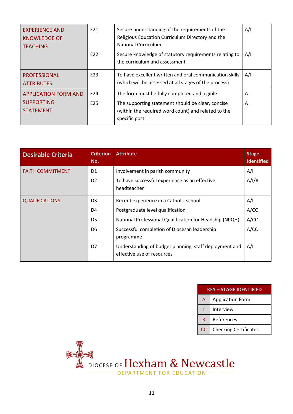| <b>EXPERIENCE AND</b><br><b>KNOWLEDGE OF</b><br><b>TEACHING</b>      | E21<br>E22             | Secure understanding of the requirements of the<br>Religious Education Curriculum Directory and the<br>National Curriculum<br>Secure knowledge of statutory requirements relating to<br>the curriculum and assessment | A/I<br>A/I |
|----------------------------------------------------------------------|------------------------|-----------------------------------------------------------------------------------------------------------------------------------------------------------------------------------------------------------------------|------------|
| <b>PROFESSIONAL</b><br><b>ATTRIBUTES</b>                             | E23                    | To have excellent written and oral communication skills<br>(which will be assessed at all stages of the process)                                                                                                      | A/I        |
| <b>APPLICATION FORM AND</b><br><b>SUPPORTING</b><br><b>STATEMENT</b> | E24<br>E <sub>25</sub> | The form must be fully completed and legible<br>The supporting statement should be clear, concise<br>(within the required word count) and related to the<br>specific post                                             | A<br>A     |

| <b>Desirable Criteria</b> | <b>Criterion</b><br>No. | <b>Attribute</b>                                                                     | <b>Stage</b><br><b>Identified</b> |
|---------------------------|-------------------------|--------------------------------------------------------------------------------------|-----------------------------------|
| <b>FAITH COMMITMENT</b>   | D1                      | Involvement in parish community                                                      | A/I                               |
|                           | D <sub>2</sub>          | To have successful experience as an effective                                        | A/I/R                             |
|                           |                         | headteacher                                                                          |                                   |
| <b>QUALIFICATIONS</b>     | D <sub>3</sub>          | Recent experience in a Catholic school                                               | A/I                               |
|                           | D4                      | Postgraduate level qualification                                                     | A/CC                              |
|                           | D5                      | National Professional Qualification for Headship (NPQH)                              | A/CC                              |
|                           | D6                      | Successful completion of Diocesan leadership                                         | A/CC                              |
|                           |                         | programme                                                                            |                                   |
|                           | D7                      | Understanding of budget planning, staff deployment and<br>effective use of resources | A/I                               |

|    | <b>KEY - STAGE IDENTIFIED</b> |  |  |  |  |
|----|-------------------------------|--|--|--|--|
| A  | <b>Application Form</b>       |  |  |  |  |
|    | Interview                     |  |  |  |  |
| R  | References                    |  |  |  |  |
| CC | <b>Checking Certificates</b>  |  |  |  |  |

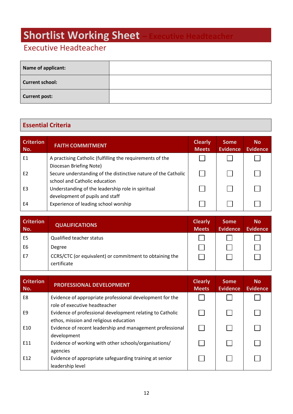# <span id="page-10-0"></span>**Shortlist Working Sheet**

## Executive Headteacher

| Name of applicant:     |  |
|------------------------|--|
| <b>Current school:</b> |  |
| <b>Current post:</b>   |  |

## **Essential Criteria**

| <b>Criterion</b><br>No. | <b>FAITH COMMITMENT</b>                                        | <b>Clearly</b><br><b>Meets</b> | <b>Some</b><br><b>Evidence</b> | <b>No</b><br><b>Evidence</b> |
|-------------------------|----------------------------------------------------------------|--------------------------------|--------------------------------|------------------------------|
| E1                      | A practising Catholic (fulfilling the requirements of the      |                                |                                |                              |
|                         | Diocesan Briefing Note)                                        |                                |                                |                              |
| F <sub>2</sub>          | Secure understanding of the distinctive nature of the Catholic |                                |                                |                              |
|                         | school and Catholic education                                  |                                |                                |                              |
| E <sub>3</sub>          | Understanding of the leadership role in spiritual              |                                |                                |                              |
|                         | development of pupils and staff                                |                                |                                |                              |
| E4                      | Experience of leading school worship                           |                                |                                |                              |

| <b>Criterion</b><br>No. | <b>QUALIFICATIONS</b>                                                  | <b>Clearly</b><br><b>Meets</b> | <b>Some</b><br><b>Evidence</b> | <b>No</b><br><b>Evidence</b> |
|-------------------------|------------------------------------------------------------------------|--------------------------------|--------------------------------|------------------------------|
| E <sub>5</sub>          | Qualified teacher status                                               |                                |                                |                              |
| E <sub>6</sub>          | Degree                                                                 |                                |                                |                              |
| E7                      | CCRS/CTC (or equivalent) or commitment to obtaining the<br>certificate |                                |                                |                              |

| <b>Criterion</b><br>No. | PROFESSIONAL DEVELOPMENT                                                                            | <b>Clearly</b><br><b>Meets</b> | <b>Some</b><br><b>Evidence</b> | <b>No</b><br><b>Evidence</b> |
|-------------------------|-----------------------------------------------------------------------------------------------------|--------------------------------|--------------------------------|------------------------------|
| E8                      | Evidence of appropriate professional development for the<br>role of executive headteacher           |                                |                                |                              |
| F9                      | Evidence of professional development relating to Catholic<br>ethos, mission and religious education |                                |                                |                              |
| E10                     | Evidence of recent leadership and management professional<br>development                            |                                |                                |                              |
| E11                     | Evidence of working with other schools/organisations/<br>agencies                                   |                                |                                |                              |
| E12                     | Evidence of appropriate safeguarding training at senior<br>leadership level                         |                                |                                |                              |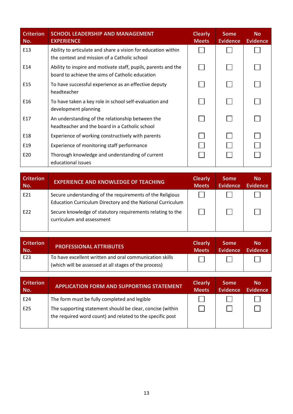| <b>Criterion</b><br>No. | <b>SCHOOL LEADERSHIP AND MANAGEMENT</b><br><b>EXPERIENCE</b>                                                      | <b>Clearly</b><br><b>Meets</b> | <b>Some</b><br><b>Evidence</b> | <b>No</b><br><b>Evidence</b> |
|-------------------------|-------------------------------------------------------------------------------------------------------------------|--------------------------------|--------------------------------|------------------------------|
| E13                     | Ability to articulate and share a vision for education within<br>the context and mission of a Catholic school     |                                |                                |                              |
| E14                     | Ability to inspire and motivate staff, pupils, parents and the<br>board to achieve the aims of Catholic education |                                |                                |                              |
| E <sub>15</sub>         | To have successful experience as an effective deputy<br>headteacher                                               |                                |                                |                              |
| E16                     | To have taken a key role in school self-evaluation and<br>development planning                                    |                                |                                |                              |
| E17                     | An understanding of the relationship between the<br>headteacher and the board in a Catholic school                |                                |                                |                              |
| E18                     | Experience of working constructively with parents                                                                 |                                |                                |                              |
| E19                     | Experience of monitoring staff performance                                                                        |                                |                                |                              |
| E20                     | Thorough knowledge and understanding of current<br>educational issues                                             |                                |                                |                              |

| <b>Criterion</b><br>No. | <b>EXPERIENCE AND KNOWLEDGE OF TEACHING</b>                                                                             | <b>Clearly</b><br><b>Meets</b> | <b>Some</b><br><b>Evidence</b> | <b>No</b><br><b>Evidence</b> |
|-------------------------|-------------------------------------------------------------------------------------------------------------------------|--------------------------------|--------------------------------|------------------------------|
| E21                     | Secure understanding of the requirements of the Religious<br>Education Curriculum Directory and the National Curriculum |                                |                                |                              |
| E22                     | Secure knowledge of statutory requirements relating to the<br>curriculum and assessment                                 |                                |                                |                              |

| <b>Criterion</b><br>No. | <b>PROFESSIONAL ATTRIBUTES</b>                          | <b>Clearly</b><br><b>Meets</b> | <b>Some</b><br><b>Evidence</b> | <b>No</b><br><b>Evidence</b> |
|-------------------------|---------------------------------------------------------|--------------------------------|--------------------------------|------------------------------|
| E <sub>23</sub>         | To have excellent written and oral communication skills |                                |                                |                              |
|                         | (which will be assessed at all stages of the process)   |                                |                                |                              |

| <b>Criterion</b><br>No. | <b>APPLICATION FORM AND SUPPORTING STATEMENT</b>                                                                       | <b>Clearly</b><br><b>Meets</b> | <b>Some</b><br><b>Evidence</b> | <b>No</b><br><b>Evidence</b> |
|-------------------------|------------------------------------------------------------------------------------------------------------------------|--------------------------------|--------------------------------|------------------------------|
| E24                     | The form must be fully completed and legible                                                                           |                                |                                |                              |
| E <sub>25</sub>         | The supporting statement should be clear, concise (within<br>the required word count) and related to the specific post |                                |                                |                              |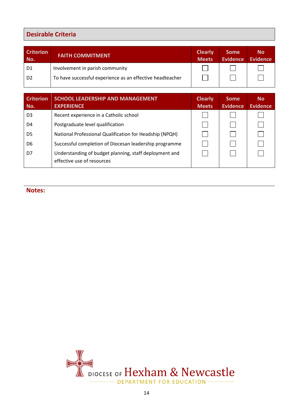## **Desirable Criteria**

| <b>Criterion</b><br>No. | <b>FAITH COMMITMENT</b>                                   | <b>Clearly</b><br><b>Meets</b> | <b>Some</b><br><b>Evidence</b> | <b>No</b><br><b>Evidence</b> |
|-------------------------|-----------------------------------------------------------|--------------------------------|--------------------------------|------------------------------|
| D <sub>1</sub>          | Involvement in parish community                           |                                |                                |                              |
| D <sub>2</sub>          | To have successful experience as an effective headteacher |                                |                                |                              |
|                         |                                                           |                                |                                |                              |

| <b>Criterion</b><br>No. | <b>SCHOOL LEADERSHIP AND MANAGEMENT</b><br><b>EXPERIENCE</b>                         | <b>Clearly</b><br><b>Meets</b> | <b>Some</b><br><b>Evidence</b> | <b>No</b><br><b>Evidence</b> |
|-------------------------|--------------------------------------------------------------------------------------|--------------------------------|--------------------------------|------------------------------|
| D <sub>3</sub>          | Recent experience in a Catholic school                                               |                                |                                |                              |
| D4                      | Postgraduate level qualification                                                     |                                |                                |                              |
| D5                      | National Professional Qualification for Headship (NPQH)                              |                                |                                |                              |
| D6                      | Successful completion of Diocesan leadership programme                               |                                |                                |                              |
| D7                      | Understanding of budget planning, staff deployment and<br>effective use of resources |                                |                                |                              |

**Notes:**

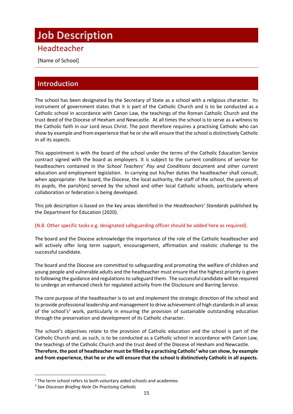## <span id="page-13-0"></span>**Job Description**

## Headteacher

[Name of School]

## **Introduction**

The school has been designated by the Secretary of State as a school with a religious character. Its instrument of government states that it is part of the Catholic Church and is to be conducted as a Catholic school in accordance with Canon Law, the teachings of the Roman Catholic Church and the trust deed of the Diocese of Hexham and Newcastle. At all times the school is to serve as a witness to the Catholic faith in our Lord Jesus Christ. The post therefore requires a practising Catholic who can show by example and from experience that he or she will ensure that the school is distinctively Catholic in all its aspects.

This appointment is with the board of the school under the terms of the Catholic Education Service contract signed with the board as employers. It is subject to the current conditions of service for headteachers contained in the *School Teachers' Pay and Conditions* document and other current education and employment legislation. In carrying out his/her duties the headteacher shall consult, when appropriate: the board, the Diocese, the local authority, the staff of the school, the parents of its pupils, the parish(es) served by the school and other local Catholic schools, particularly where collaboration or federation is being developed.

This job description is based on the key areas identified in the *Headteachers' Standards* published by the Department for Education (2020).

#### (N.B. Other specific tasks e.g. designated safeguarding officer should be added here as required).

The board and the Diocese acknowledge the importance of the role of the Catholic headteacher and will actively offer long term support, encouragement, affirmation and realistic challenge to the successful candidate.

The board and the Diocese are committed to safeguarding and promoting the welfare of children and young people and vulnerable adults and the headteacher must ensure that the highest priority is given to following the guidance and regulations to safeguard them. The successful candidate will be required to undergo an enhanced check for regulated activity from the Disclosure and Barring Service.

The core purpose of the headteacher is to set and implement the strategic direction of the school and to provide professional leadership and management to drive achievement of high standards in all areas of the school's<sup>1</sup> work, particularly in ensuring the provision of sustainable outstanding education through the preservation and development of its Catholic character.

The school's objectives relate to the provision of Catholic education and the school is part of the Catholic Church and, as such, is to be conducted as a Catholic school in accordance with Canon Law, the teachings of the Catholic Church and the trust deed of the Diocese of Hexham and Newcastle. **Therefore, the post of headteacher must be filled by a practising Catholic<sup>2</sup> who can show, by example and from experience, that he or she will ensure that the school is distinctively Catholic in all aspects.**

 $1$ <sup>1</sup> The term school refers to both voluntary aided schools and academies

<sup>2</sup> See *Diocesan Briefing Note On Practising Catholic*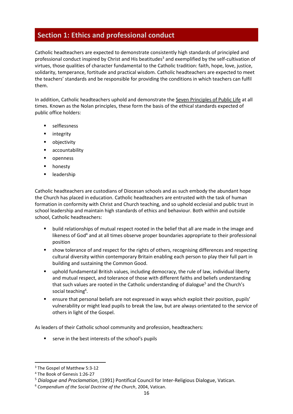## **Section 1: Ethics and professional conduct**

Catholic headteachers are expected to demonstrate consistently high standards of principled and professional conduct inspired by Christ and His beatitudes<sup>3</sup> and exemplified by the self-cultivation of virtues, those qualities of character fundamental to the Catholic tradition: faith, hope, love, justice, solidarity, temperance, fortitude and practical wisdom. Catholic headteachers are expected to meet the teachers' standards and be responsible for providing the conditions in which teachers can fulfil them.

In addition, Catholic headteachers uphold and demonstrate the Seven [Principles](https://www.gov.uk/government/publications/the-7-principles-of-public-life) of Public Life at all times. Known as the Nolan principles, these form the basis of the ethical standards expected of public office holders:

- selflessness
- integrity
- objectivity
- accountability
- openness
- honesty
- leadership

Catholic headteachers are custodians of Diocesan schools and as such embody the abundant hope the Church has placed in education. Catholic headteachers are entrusted with the task of human formation in conformity with Christ and Church teaching, and so uphold ecclesial and public trust in school leadership and maintain high standards of ethics and behaviour. Both within and outside school, Catholic headteachers:

- build relationships of mutual respect rooted in the belief that all are made in the image and likeness of God<sup>4</sup> and at all times observe proper boundaries appropriate to their professional position
- show tolerance of and respect for the rights of others, recognising differences and respecting cultural diversity within contemporary Britain enabling each person to play their full part in building and sustaining the Common Good.
- uphold fundamental British values, including democracy, the rule of law, individual liberty and mutual respect, and tolerance of those with different faiths and beliefs understanding that such values are rooted in the Catholic understanding of dialogue<sup>5</sup> and the Church's social teaching<sup>6</sup>.
- ensure that personal beliefs are not expressed in ways which exploit their position, pupils' vulnerability or might lead pupils to break the law, but are always orientated to the service of others in light of the Gospel.

As leaders of their Catholic school community and profession, headteachers:

■ serve in the best interests of the school's pupils

<sup>3</sup> The Gospel of Matthew 5:3-12

<sup>4</sup> The Book of Genesis 1:26-27

<sup>5</sup> *Dialogue and Proclamation*, (1991) Pontifical Council for Inter-Religious Dialogue, Vatican.

<sup>6</sup> *Compendium of the Social Doctrine of the Church*, 2004, Vatican.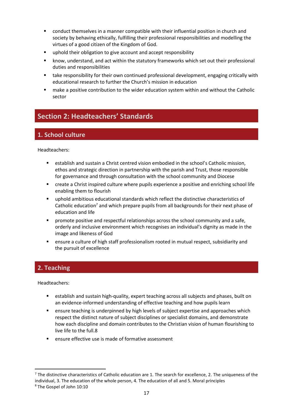- conduct themselves in a manner compatible with their influential position in church and society by behaving ethically, fulfilling their professional responsibilities and modelling the virtues of a good citizen of the Kingdom of God.
- uphold their obligation to give account and accept responsibility
- know, understand, and act within the statutory frameworks which set out their professional duties and responsibilities
- take responsibility for their own continued professional development, engaging critically with educational research to further the Church's mission in education
- make a positive contribution to the wider education system within and without the Catholic sector

## **Section 2: Headteachers' Standards**

## **1. School culture**

Headteachers:

- establish and sustain a Christ centred vision embodied in the school's Catholic mission. ethos and strategic direction in partnership with the parish and Trust, those responsible for governance and through consultation with the school community and Diocese
- create a Christ inspired culture where pupils experience a positive and enriching school life enabling them to flourish
- uphold ambitious educational standards which reflect the distinctive characteristics of Catholic education<sup>7</sup> and which prepare pupils from all backgrounds for their next phase of education and life
- promote positive and respectful relationships across the school community and a safe, orderly and inclusive environment which recognises an individual's dignity as made in the image and likeness of God
- ensure a culture of high staff professionalism rooted in mutual respect, subsidiarity and the pursuit of excellence

## **2. Teaching**

- establish and sustain high-quality, expert teaching across all subjects and phases, built on an evidence-informed understanding of effective teaching and how pupils learn
- ensure teaching is underpinned by high levels of subject expertise and approaches which respect the distinct nature of subject disciplines or specialist domains, and demonstrate how each discipline and domain contributes to the Christian vision of human flourishing to live life to the full.8
- ensure effective use is made of formative assessment

 $<sup>7</sup>$  The distinctive characteristics of Catholic education are 1. The search for excellence, 2. The uniqueness of the</sup> individual, 3. The education of the whole person, 4. The education of all and 5. Moral principles <sup>8</sup> The Gospel of John 10:10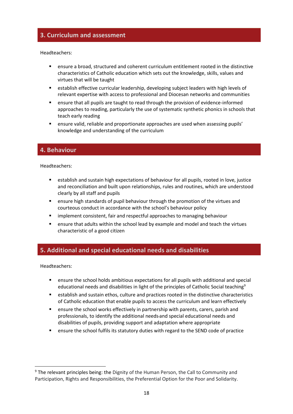#### **3. Curriculum and assessment**

Headteachers:

- ensure a broad, structured and coherent curriculum entitlement rooted in the distinctive characteristics of Catholic education which sets out the knowledge, skills, values and virtues that will be taught
- establish effective curricular leadership, developing subject leaders with high levels of relevant expertise with access to professional and Diocesan networks and communities
- ensure that all pupils are taught to read through the provision of evidence-informed approaches to reading, particularly the use of systematic synthetic phonics in schools that teach early reading
- ensure valid, reliable and proportionate approaches are used when assessing pupils' knowledge and understanding of the curriculum

#### **4. Behaviour**

Headteachers:

- **E** establish and sustain high expectations of behaviour for all pupils, rooted in love, justice and reconciliation and built upon relationships, rules and routines, which are understood clearly by all staff and pupils
- ensure high standards of pupil behaviour through the promotion of the virtues and courteous conduct in accordance with the school's behaviour policy
- implement consistent, fair and respectful approaches to managing behaviour
- ensure that adults within the school lead by example and model and teach the virtues characteristic of a good citizen

### **5. Additional and special educational needs and disabilities**

- ensure the school holds ambitious expectations for all pupils with additional and special educational needs and disabilities in light of the principles of Catholic Social teaching<sup>9</sup>
- establish and sustain ethos, culture and practices rooted in the distinctive characteristics of Catholic education that enable pupils to access the curriculum and learn effectively
- ensure the school works effectively in partnership with parents, carers, parish and professionals, to identify the additional needs and special educational needs and disabilities of pupils, providing support and adaptation where appropriate
- ensure the school fulfils its statutory duties with regard to the SEND code of practice

<sup>&</sup>lt;sup>9</sup> The relevant principles being: the Dignity of the Human Person, the Call to Community and Participation, Rights and Responsibilities, the Preferential Option for the Poor and Solidarity.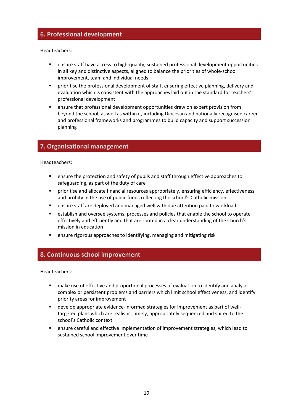#### **6. Professional development**

Headteachers:

- ensure staff have access to high-quality, sustained professional development opportunities in all key and distinctive aspects, aligned to balance the priorities of whole-school improvement, team and individual needs
- prioritise the professional development of staff, ensuring effective planning, delivery and evaluation which is consistent with the approaches laid out in the standard for teachers' professional development
- ensure that professional development opportunities draw on expert provision from beyond the school, as well as within it, including Diocesan and nationally recognised career and professional frameworks and programmes to build capacity and support succession planning

#### **7. Organisational management**

Headteachers:

- ensure the protection and safety of pupils and staff through effective approaches to safeguarding, as part of the duty of care
- prioritise and allocate financial resources appropriately, ensuring efficiency, effectiveness and probity in the use of public funds reflecting the school's Catholic mission
- ensure staff are deployed and managed well with due attention paid to workload
- establish and oversee systems, processes and policies that enable the school to operate effectively and efficiently and that are rooted in a clear understanding of the Church's mission in education
- ensure rigorous approaches to identifying, managing and mitigating risk

#### **8. Continuous school improvement**

- make use of effective and proportional processes of evaluation to identify and analyse complex or persistent problems and barriers which limit school effectiveness, and identify priority areas for improvement
- develop appropriate evidence-informed strategies for improvement as part of welltargeted plans which are realistic, timely, appropriately sequenced and suited to the school's Catholic context
- ensure careful and effective implementation of improvement strategies, which lead to sustained school improvement over time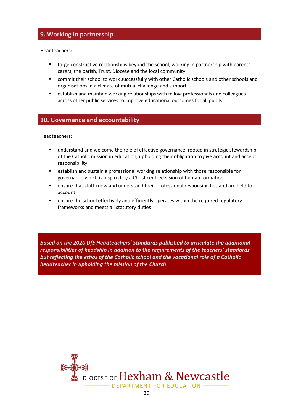### **9. Working in partnership**

Headteachers:

- forge constructive relationships beyond the school, working in partnership with parents, carers, the parish, Trust, Diocese and the local community
- commit their school to work successfully with other Catholic schools and other schools and organisations in a climate of mutual challenge and support
- establish and maintain working relationships with fellow professionals and colleagues across other public services to improve educational outcomes for all pupils

#### **10. Governance and accountability**

Headteachers:

- understand and welcome the role of effective governance, rooted in strategic stewardship of the Catholic mission in education, upholding their obligation to give account and accept responsibility
- establish and sustain a professional working relationship with those responsible for governance which is inspired by a Christ centred vision of human formation
- ensure that staff know and understand their professional responsibilities and are held to account
- ensure the school effectively and efficiently operates within the required regulatory frameworks and meets all statutory duties

*Based on the 2020 DfE Headteachers' Standards published to articulate the additional responsibilities of headship in addition to the requirements of the teachers' standards but reflecting the ethos of the Catholic school and the vocational role of a Catholic headteacher in upholding the mission of the Church*

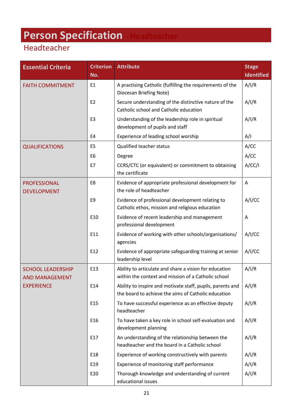# <span id="page-19-0"></span>**Person Specification - Headteacher**

| <b>Essential Criteria</b>                         | <b>Criterion</b><br>No. | <b>Attribute</b>                                                                                                  | <b>Stage</b><br><b>Identified</b> |
|---------------------------------------------------|-------------------------|-------------------------------------------------------------------------------------------------------------------|-----------------------------------|
| <b>FAITH COMMITMENT</b>                           | E1                      | A practising Catholic (fulfilling the requirements of the<br>Diocesan Briefing Note)                              | A/I/R                             |
|                                                   | E <sub>2</sub>          | Secure understanding of the distinctive nature of the<br>Catholic school and Catholic education                   | A/I/R                             |
|                                                   | E <sub>3</sub>          | Understanding of the leadership role in spiritual<br>development of pupils and staff                              | A/I/R                             |
|                                                   | E4                      | Experience of leading school worship                                                                              | A/I                               |
| <b>QUALIFICATIONS</b>                             | E <sub>5</sub>          | Qualified teacher status                                                                                          | A/CC                              |
|                                                   | E <sub>6</sub>          | Degree                                                                                                            | A/CC                              |
|                                                   | E7                      | CCRS/CTC (or equivalent) or commitment to obtaining<br>the certificate                                            | A/CC/1                            |
| <b>PROFESSIONAL</b><br><b>DEVELOPMENT</b>         | E8                      | Evidence of appropriate professional development for<br>the role of headteacher                                   | A                                 |
|                                                   | E <sub>9</sub>          | Evidence of professional development relating to<br>Catholic ethos, mission and religious education               | A/I/CC                            |
|                                                   | E10                     | Evidence of recent leadership and management<br>professional development                                          | A                                 |
|                                                   | E11                     | Evidence of working with other schools/organisations/<br>agencies                                                 | A/I/CC                            |
|                                                   | E12                     | Evidence of appropriate safeguarding training at senior<br>leadership level                                       | A/I/CC                            |
| <b>SCHOOL LEADERSHIP</b><br><b>AND MANAGEMENT</b> | E13                     | Ability to articulate and share a vision for education<br>within the context and mission of a Catholic school     | A/I/R                             |
| <b>EXPERIENCE</b>                                 | E14                     | Ability to inspire and motivate staff, pupils, parents and<br>the board to achieve the aims of Catholic education | A/I/R                             |
|                                                   | E <sub>15</sub>         | To have successful experience as an effective deputy<br>headteacher                                               | A/I/R                             |
|                                                   | E16                     | To have taken a key role in school self-evaluation and<br>development planning                                    | A/I/R                             |
|                                                   | E17                     | An understanding of the relationship between the<br>headteacher and the board in a Catholic school                | A/I/R                             |
|                                                   | E18                     | Experience of working constructively with parents                                                                 | A/I/R                             |
|                                                   | E19                     | Experience of monitoring staff performance                                                                        | A/I/R                             |
|                                                   | E20                     | Thorough knowledge and understanding of current<br>educational issues                                             | A/I/R                             |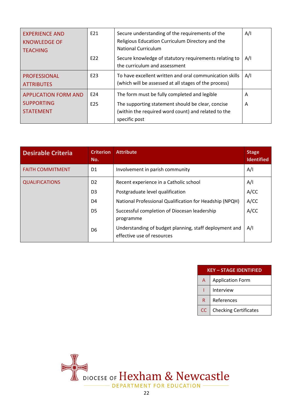| <b>EXPERIENCE AND</b><br><b>KNOWLEDGE OF</b><br><b>TEACHING</b>      | E21                    | Secure understanding of the requirements of the<br>Religious Education Curriculum Directory and the<br><b>National Curriculum</b>                                         | A/I    |
|----------------------------------------------------------------------|------------------------|---------------------------------------------------------------------------------------------------------------------------------------------------------------------------|--------|
|                                                                      | E22                    | Secure knowledge of statutory requirements relating to<br>the curriculum and assessment                                                                                   | A/I    |
| <b>PROFESSIONAL</b><br><b>ATTRIBUTES</b>                             | E23                    | To have excellent written and oral communication skills<br>(which will be assessed at all stages of the process)                                                          | A/I    |
| <b>APPLICATION FORM AND</b><br><b>SUPPORTING</b><br><b>STATEMENT</b> | E24<br>E <sub>25</sub> | The form must be fully completed and legible<br>The supporting statement should be clear, concise<br>(within the required word count) and related to the<br>specific post | A<br>A |

| <b>Desirable Criteria</b> | <b>Criterion</b><br>No. | <b>Attribute</b>                                                                     | <b>Stage</b><br><b>Identified</b> |
|---------------------------|-------------------------|--------------------------------------------------------------------------------------|-----------------------------------|
| <b>FAITH COMMITMENT</b>   | D1                      | Involvement in parish community                                                      | A/I                               |
| <b>QUALIFICATIONS</b>     | D <sub>2</sub>          | Recent experience in a Catholic school                                               | A/I                               |
|                           | D <sub>3</sub>          | Postgraduate level qualification                                                     | A/CC                              |
|                           | D4                      | National Professional Qualification for Headship (NPQH)                              | A/CC                              |
|                           | D5                      | Successful completion of Diocesan leadership<br>programme                            | A/CC                              |
|                           | D6                      | Understanding of budget planning, staff deployment and<br>effective use of resources | A/I                               |

| <b>KEY - STAGE IDENTIFIED</b> |                              |  |  |  |
|-------------------------------|------------------------------|--|--|--|
| A                             | <b>Application Form</b>      |  |  |  |
|                               | Interview                    |  |  |  |
| R                             | References                   |  |  |  |
| CC                            | <b>Checking Certificates</b> |  |  |  |

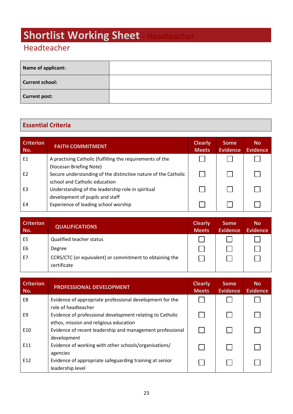# <span id="page-21-0"></span>**Shortlist Working Sheet**

## Headteacher

| Name of applicant:     |  |
|------------------------|--|
| <b>Current school:</b> |  |
| <b>Current post:</b>   |  |

## **Essential Criteria**

| <b>Criterion</b><br>No. | <b>FAITH COMMITMENT</b>                                                                   | <b>Clearly</b><br><b>Meets</b> | <b>Some</b><br><b>Evidence</b> | <b>No</b><br><b>Evidence</b> |
|-------------------------|-------------------------------------------------------------------------------------------|--------------------------------|--------------------------------|------------------------------|
| E1                      | A practising Catholic (fulfilling the requirements of the                                 |                                |                                |                              |
| E <sub>2</sub>          | Diocesan Briefing Note)<br>Secure understanding of the distinctive nature of the Catholic |                                |                                |                              |
| E <sub>3</sub>          | school and Catholic education<br>Understanding of the leadership role in spiritual        |                                |                                |                              |
| E4                      | development of pupils and staff<br>Experience of leading school worship                   |                                |                                |                              |

| <b>Criterion</b><br>No. | <b>QUALIFICATIONS</b>                                                  | <b>Clearly</b><br><b>Meets</b> | <b>Some</b><br><b>Evidence</b> | <b>No</b><br><b>Evidence</b> |
|-------------------------|------------------------------------------------------------------------|--------------------------------|--------------------------------|------------------------------|
| E <sub>5</sub>          | <b>Qualified teacher status</b>                                        |                                |                                |                              |
| E <sub>6</sub>          | Degree                                                                 |                                |                                |                              |
| E7                      | CCRS/CTC (or equivalent) or commitment to obtaining the<br>certificate |                                |                                |                              |

| <b>Criterion</b><br>No. | PROFESSIONAL DEVELOPMENT                                                                            | <b>Clearly</b><br><b>Meets</b> | <b>Some</b><br><b>Evidence</b> | <b>No</b><br><b>Evidence</b> |
|-------------------------|-----------------------------------------------------------------------------------------------------|--------------------------------|--------------------------------|------------------------------|
| E8                      | Evidence of appropriate professional development for the<br>role of headteacher                     |                                |                                |                              |
| F9                      | Evidence of professional development relating to Catholic<br>ethos, mission and religious education |                                |                                |                              |
| E10                     | Evidence of recent leadership and management professional<br>development                            |                                |                                |                              |
| E11                     | Evidence of working with other schools/organisations/<br>agencies                                   |                                |                                |                              |
| E <sub>12</sub>         | Evidence of appropriate safeguarding training at senior<br>leadership level                         |                                |                                |                              |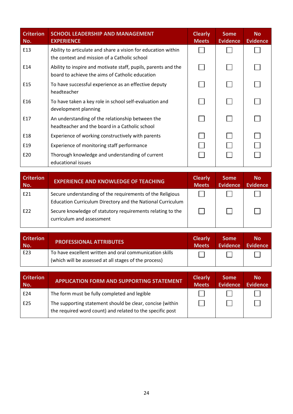| <b>Criterion</b><br>No. | <b>SCHOOL LEADERSHIP AND MANAGEMENT</b><br><b>EXPERIENCE</b>                                                      | <b>Clearly</b><br><b>Meets</b> | <b>Some</b><br><b>Evidence</b> | <b>No</b><br><b>Evidence</b> |
|-------------------------|-------------------------------------------------------------------------------------------------------------------|--------------------------------|--------------------------------|------------------------------|
| E13                     | Ability to articulate and share a vision for education within<br>the context and mission of a Catholic school     |                                |                                |                              |
| E14                     | Ability to inspire and motivate staff, pupils, parents and the<br>board to achieve the aims of Catholic education |                                |                                |                              |
| E <sub>15</sub>         | To have successful experience as an effective deputy<br>headteacher                                               |                                |                                |                              |
| E16                     | To have taken a key role in school self-evaluation and<br>development planning                                    |                                |                                |                              |
| E17                     | An understanding of the relationship between the<br>headteacher and the board in a Catholic school                |                                |                                |                              |
| E18                     | Experience of working constructively with parents                                                                 |                                |                                |                              |
| E19                     | Experience of monitoring staff performance                                                                        |                                |                                |                              |
| E20                     | Thorough knowledge and understanding of current<br>educational issues                                             |                                |                                |                              |

| <b>Criterion</b><br>No. | <b>EXPERIENCE AND KNOWLEDGE OF TEACHING</b>                                                                             | <b>Clearly</b><br><b>Meets</b> | <b>Some</b><br><b>Evidence</b> | <b>No</b><br><b>Evidence</b> |
|-------------------------|-------------------------------------------------------------------------------------------------------------------------|--------------------------------|--------------------------------|------------------------------|
| E21                     | Secure understanding of the requirements of the Religious<br>Education Curriculum Directory and the National Curriculum |                                |                                |                              |
| E22                     | Secure knowledge of statutory requirements relating to the<br>curriculum and assessment                                 |                                |                                |                              |

| <b>Criterion</b> | <b>PROFESSIONAL ATTRIBUTES</b>                                                                                   | <b>Clearly</b> | <b>Some</b> | <b>No</b> |
|------------------|------------------------------------------------------------------------------------------------------------------|----------------|-------------|-----------|
| No.              |                                                                                                                  | <b>Meets</b>   | Evidence    | Evidence  |
| E <sub>23</sub>  | To have excellent written and oral communication skills<br>(which will be assessed at all stages of the process) |                |             |           |

| <b>Criterion</b><br>No. | <b>APPLICATION FORM AND SUPPORTING STATEMENT</b>                                                                       | <b>Clearly</b><br><b>Meets</b> | <b>Some</b><br><b>Evidence</b> | <b>No</b><br><b>Evidence</b> |
|-------------------------|------------------------------------------------------------------------------------------------------------------------|--------------------------------|--------------------------------|------------------------------|
| E24                     | The form must be fully completed and legible                                                                           |                                |                                |                              |
| E25                     | The supporting statement should be clear, concise (within<br>the required word count) and related to the specific post |                                |                                |                              |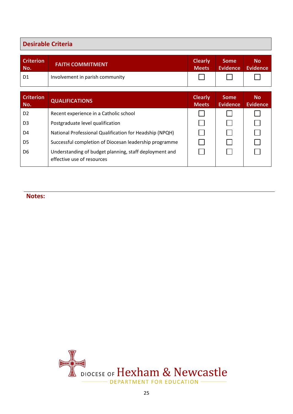## **Desirable Criteria**

| <b>Criterion</b> | <b>FAITH COMMITMENT</b>         | <b>Clearly</b> | <b>Some</b> | <b>No</b> |
|------------------|---------------------------------|----------------|-------------|-----------|
| No.              |                                 | <b>Meets</b>   | Evidence    | Evidence  |
| D1               | Involvement in parish community |                |             |           |

| <b>Criterion</b><br>No. | <b>QUALIFICATIONS</b>                                                                |  | <b>Some</b><br><b>Evidence</b> | <b>No</b><br><b>Evidence</b> |
|-------------------------|--------------------------------------------------------------------------------------|--|--------------------------------|------------------------------|
| D <sub>2</sub>          | Recent experience in a Catholic school                                               |  |                                |                              |
| D <sub>3</sub>          | Postgraduate level qualification                                                     |  |                                |                              |
| D4                      | National Professional Qualification for Headship (NPQH)                              |  |                                |                              |
| D <sub>5</sub>          | Successful completion of Diocesan leadership programme                               |  |                                |                              |
| D6                      | Understanding of budget planning, staff deployment and<br>effective use of resources |  |                                |                              |

**Notes:**

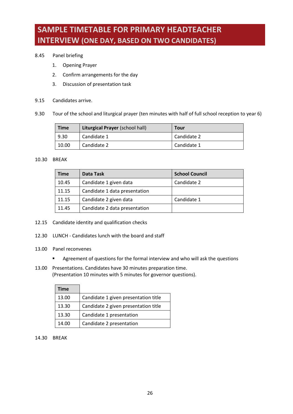## <span id="page-24-0"></span>**SAMPLE TIMETABLE FOR PRIMARY HEADTEACHER INTERVIEW (ONE DAY, BASED ON TWO CANDIDATES)**

- 8.45 Panel briefing
	- 1. Opening Prayer
	- 2. Confirm arrangements for the day
	- 3. Discussion of presentation task
- 9.15 Candidates arrive.
- 9.30 Tour of the school and liturgical prayer (ten minutes with half of full school reception to year 6)

| <b>Time</b> | <b>Liturgical Prayer (school hall)</b> | Tour        |
|-------------|----------------------------------------|-------------|
| 9.30        | Candidate 1                            | Candidate 2 |
| 10.00       | Candidate 2                            | Candidate 1 |

#### 10.30 BREAK

| <b>Time</b> | Data Task                     | <b>School Council</b> |
|-------------|-------------------------------|-----------------------|
| 10.45       | Candidate 1 given data        | Candidate 2           |
| 11.15       | Candidate 1 data presentation |                       |
| 11.15       | Candidate 2 given data        | Candidate 1           |
| 11.45       | Candidate 2 data presentation |                       |

- 12.15 Candidate identity and qualification checks
- 12.30 LUNCH Candidates lunch with the board and staff
- 13.00 Panel reconvenes
	- Agreement of questions for the formal interview and who will ask the questions
- 13.00 Presentations. Candidates have 30 minutes preparation time. (Presentation 10 minutes with 5 minutes for governor questions).

| Time  |                                      |
|-------|--------------------------------------|
| 13.00 | Candidate 1 given presentation title |
| 13.30 | Candidate 2 given presentation title |
| 13.30 | Candidate 1 presentation             |
| 14.00 | Candidate 2 presentation             |

14.30 BREAK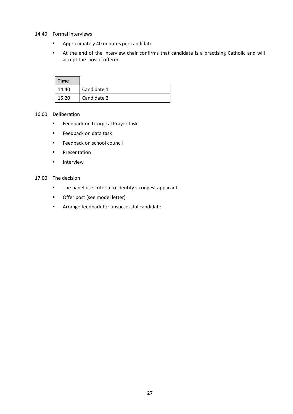- 14.40 Formal interviews
	- Approximately 40 minutes per candidate
	- At the end of the interview chair confirms that candidate is a practising Catholic and will accept the post if offered

| <b>Time</b> |             |
|-------------|-------------|
| 14.40       | Candidate 1 |
| 15.20       | Candidate 2 |

#### 16.00 Deliberation

- Feedback on Liturgical Prayer task
- Feedback on data task
- Feedback on school council
- Presentation
- Interview

#### 17.00 The decision

- The panel use criteria to identify strongest applicant
- Offer post (see model letter)
- Arrange feedback for unsuccessful candidate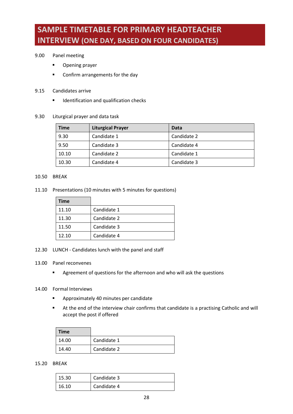## <span id="page-26-0"></span>**SAMPLE TIMETABLE FOR PRIMARY HEADTEACHER INTERVIEW (ONE DAY, BASED ON FOUR CANDIDATES)**

#### 9.00 Panel meeting

- Opening prayer
- Confirm arrangements for the day
- 9.15 Candidates arrive
	- Identification and qualification checks
- 9.30 Liturgical prayer and data task

| <b>Time</b> | <b>Liturgical Prayer</b> | Data        |
|-------------|--------------------------|-------------|
| 9.30        | Candidate 1              | Candidate 2 |
| 9.50        | Candidate 3              | Candidate 4 |
| 10.10       | Candidate 2              | Candidate 1 |
| 10.30       | Candidate 4              | Candidate 3 |

#### 10.50 BREAK

11.10 Presentations (10 minutes with 5 minutes for questions)

| Time  |             |
|-------|-------------|
| 11.10 | Candidate 1 |
| 11.30 | Candidate 2 |
| 11.50 | Candidate 3 |
| 12.10 | Candidate 4 |

- 12.30 LUNCH Candidates lunch with the panel and staff
- 13.00 Panel reconvenes
	- Agreement of questions for the afternoon and who will ask the questions

#### 14.00 Formal Interviews

- Approximately 40 minutes per candidate
- At the end of the interview chair confirms that candidate is a practising Catholic and will accept the post if offered

| Time  |             |
|-------|-------------|
| 14.00 | Candidate 1 |
| 14.40 | Candidate 2 |

15.20 BREAK

| 15.30 | Candidate 3 |
|-------|-------------|
| 16.10 | Candidate 4 |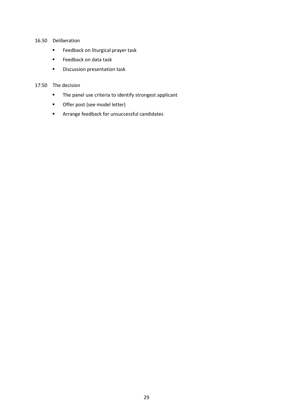#### 16.50 Deliberation

- Feedback on liturgical prayer task
- Feedback on data task
- Discussion presentation task

#### 17:50 The decision

- The panel use criteria to identify strongest applicant
- Offer post (see model letter)
- Arrange feedback for unsuccessful candidates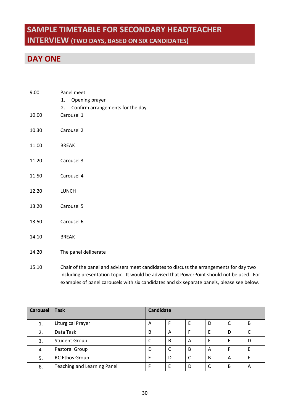## <span id="page-28-0"></span>**SAMPLE TIMETABLE FOR SECONDARY HEADTEACHER INTERVIEW (TWO DAYS, BASED ON SIX CANDIDATES)**

## **DAY ONE**

| 9.00  | Panel meet<br>1. Opening prayer<br>2. Confirm arrangements for the day |  |  |  |  |
|-------|------------------------------------------------------------------------|--|--|--|--|
| 10.00 | Carousel 1                                                             |  |  |  |  |
| 10.30 | Carousel 2                                                             |  |  |  |  |
| 11.00 | <b>BREAK</b>                                                           |  |  |  |  |
| 11.20 | Carousel 3                                                             |  |  |  |  |
| 11.50 | Carousel 4                                                             |  |  |  |  |
| 12.20 | <b>LUNCH</b>                                                           |  |  |  |  |
| 13.20 | Carousel 5                                                             |  |  |  |  |
| 13.50 | Carousel 6                                                             |  |  |  |  |
| 14.10 | <b>BREAK</b>                                                           |  |  |  |  |
| 14.20 | The panel deliberate                                                   |  |  |  |  |

15.10 Chair of the panel and advisers meet candidates to discuss the arrangements for day two including presentation topic. It would be advised that PowerPoint should not be used. For examples of panel carousels with six candidates and six separate panels, please see below.

| <b>Carousel</b> | <b>Task</b>                        | <b>Candidate</b> |   |   |   |   |   |
|-----------------|------------------------------------|------------------|---|---|---|---|---|
| 1.              | Liturgical Prayer                  | A                |   |   | D |   | B |
| 2.              | Data Task                          | B                | A |   |   | D |   |
| 3.              | <b>Student Group</b>               | C                | B | Α |   | E | D |
| 4.              | Pastoral Group                     | D                |   | B | A | F | E |
| 5.              | <b>RC Ethos Group</b>              | E                | D | ◠ | B | A | F |
| 6.              | <b>Teaching and Learning Panel</b> | F                | F | D | C | B | A |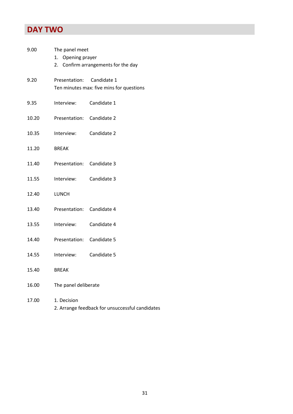## **DAY TWO**

| 9.00  | The panel meet                                                        |             |  |  |  |  |
|-------|-----------------------------------------------------------------------|-------------|--|--|--|--|
|       | Opening prayer<br>1.                                                  |             |  |  |  |  |
|       | 2. Confirm arrangements for the day                                   |             |  |  |  |  |
| 9.20  | Presentation: Candidate 1<br>Ten minutes max: five mins for questions |             |  |  |  |  |
|       |                                                                       |             |  |  |  |  |
| 9.35  | Interview:                                                            | Candidate 1 |  |  |  |  |
| 10.20 | Presentation:                                                         | Candidate 2 |  |  |  |  |
| 10.35 | Interview:                                                            | Candidate 2 |  |  |  |  |
| 11.20 | <b>BREAK</b>                                                          |             |  |  |  |  |
| 11.40 | Presentation: Candidate 3                                             |             |  |  |  |  |
| 11.55 | Interview:                                                            | Candidate 3 |  |  |  |  |
| 12.40 | LUNCH                                                                 |             |  |  |  |  |
| 13.40 | Presentation: Candidate 4                                             |             |  |  |  |  |
| 13.55 | Interview:                                                            | Candidate 4 |  |  |  |  |
| 14.40 | Presentation:                                                         | Candidate 5 |  |  |  |  |
| 14.55 | Interview:                                                            | Candidate 5 |  |  |  |  |
| 15.40 | <b>BREAK</b>                                                          |             |  |  |  |  |
| 16.00 | The panel deliberate                                                  |             |  |  |  |  |
| 17.00 | 1. Decision                                                           |             |  |  |  |  |

2. Arrange feedback for unsuccessful candidates